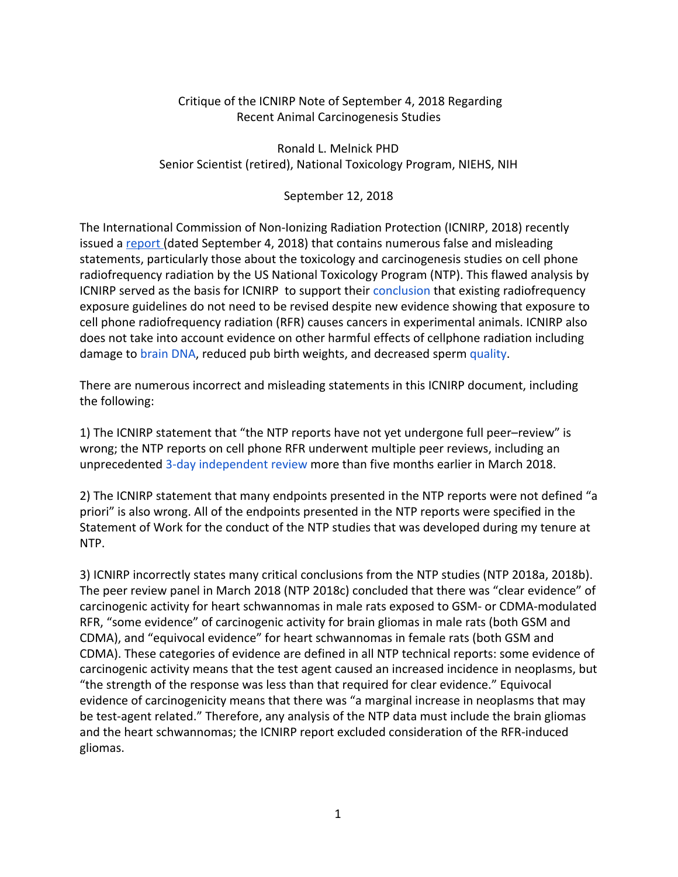## Critique of the ICNIRP Note of September 4, 2018 Regarding Recent Animal Carcinogenesis Studies

Ronald L. Melnick PHD Senior Scientist (retired), National Toxicology Program, NIEHS, NIH

## September 12, 2018

The International Commission of Non-Ionizing Radiation Protection (ICNIRP, 2018) recently issued a report (dated September 4, 2018) that contains numerous false and misleading statements, particularly those about the toxicology and carcinogenesis studies on cell phone radiofrequency radiation by the US National Toxicology Program (NTP). This flawed analysis by ICNIRP served as the basis for ICNIRP to support their conclusion that existing radiofrequency exposure guidelines do not need to be revised despite new evidence showing that exposure to cell phone radiofrequency radiation (RFR) causes cancers in experimental animals. ICNIRP also does not take into account evidence on other harmful effects of cellphone radiation including damage to brain DNA, reduced pub birth weights, and decreased sperm quality.

There are numerous incorrect and misleading statements in this ICNIRP document, including the following:

1) The ICNIRP statement that "the NTP reports have not yet undergone full peer–review" is wrong; the NTP reports on cell phone RFR underwent multiple peer reviews, including an unprecedented 3-day independent review more than five months earlier in March 2018.

2) The ICNIRP statement that many endpoints presented in the NTP reports were not defined "a priori" is also wrong. All of the endpoints presented in the NTP reports were specified in the Statement of Work for the conduct of the NTP studies that was developed during my tenure at NTP.

3) ICNIRP incorrectly states many critical conclusions from the NTP studies (NTP 2018a, 2018b). The peer review panel in March 2018 (NTP 2018c) concluded that there was "clear evidence" of carcinogenic activity for heart schwannomas in male rats exposed to GSM- or CDMA-modulated RFR, "some evidence" of carcinogenic activity for brain gliomas in male rats (both GSM and CDMA), and "equivocal evidence" for heart schwannomas in female rats (both GSM and CDMA). These categories of evidence are defined in all NTP technical reports: some evidence of carcinogenic activity means that the test agent caused an increased incidence in neoplasms, but "the strength of the response was less than that required for clear evidence." Equivocal evidence of carcinogenicity means that there was "a marginal increase in neoplasms that may be test-agent related." Therefore, any analysis of the NTP data must include the brain gliomas and the heart schwannomas; the ICNIRP report excluded consideration of the RFR-induced gliomas.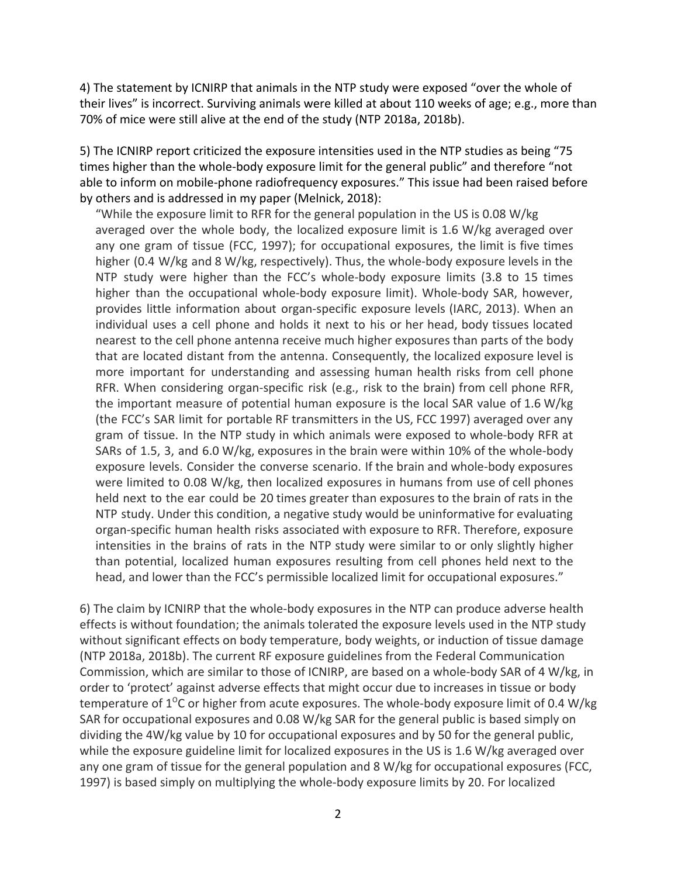4) The statement by ICNIRP that animals in the NTP study were exposed "over the whole of their lives" is incorrect. Surviving animals were killed at about 110 weeks of age; e.g., more than 70% of mice were still alive at the end of the study (NTP 2018a, 2018b).

5) The ICNIRP report criticized the exposure intensities used in the NTP studies as being "75 times higher than the whole-body exposure limit for the general public" and therefore "not able to inform on mobile-phone radiofrequency exposures." This issue had been raised before by others and is addressed in my paper (Melnick, 2018):

"While the exposure limit to RFR for the general population in the US is 0.08 W/kg averaged over the whole body, the localized exposure limit is 1.6 W/kg averaged over any one gram of tissue (FCC, 1997); for occupational exposures, the limit is five times higher (0.4 W/kg and 8 W/kg, respectively). Thus, the whole-body exposure levels in the NTP study were higher than the FCC's whole-body exposure limits (3.8 to 15 times higher than the occupational whole-body exposure limit). Whole-body SAR, however, provides little information about organ-specific exposure levels (IARC, 2013). When an individual uses a cell phone and holds it next to his or her head, body tissues located nearest to the cell phone antenna receive much higher exposures than parts of the body that are located distant from the antenna. Consequently, the localized exposure level is more important for understanding and assessing human health risks from cell phone RFR. When considering organ-specific risk (e.g., risk to the brain) from cell phone RFR, the important measure of potential human exposure is the local SAR value of 1.6 W/kg (the FCC's SAR limit for portable RF transmitters in the US, FCC 1997) averaged over any gram of tissue. In the NTP study in which animals were exposed to whole-body RFR at SARs of 1.5, 3, and 6.0 W/kg, exposures in the brain were within 10% of the whole-body exposure levels. Consider the converse scenario. If the brain and whole-body exposures were limited to 0.08 W/kg, then localized exposures in humans from use of cell phones held next to the ear could be 20 times greater than exposures to the brain of rats in the NTP study. Under this condition, a negative study would be uninformative for evaluating organ-specific human health risks associated with exposure to RFR. Therefore, exposure intensities in the brains of rats in the NTP study were similar to or only slightly higher than potential, localized human exposures resulting from cell phones held next to the head, and lower than the FCC's permissible localized limit for occupational exposures."

6) The claim by ICNIRP that the whole-body exposures in the NTP can produce adverse health effects is without foundation; the animals tolerated the exposure levels used in the NTP study without significant effects on body temperature, body weights, or induction of tissue damage (NTP 2018a, 2018b). The current RF exposure guidelines from the Federal Communication Commission, which are similar to those of ICNIRP, are based on a whole-body SAR of 4 W/kg, in order to 'protect' against adverse effects that might occur due to increases in tissue or body temperature of  $1^{\circ}$ C or higher from acute exposures. The whole-body exposure limit of 0.4 W/kg SAR for occupational exposures and 0.08 W/kg SAR for the general public is based simply on dividing the 4W/kg value by 10 for occupational exposures and by 50 for the general public, while the exposure guideline limit for localized exposures in the US is 1.6 W/kg averaged over any one gram of tissue for the general population and 8 W/kg for occupational exposures (FCC, 1997) is based simply on multiplying the whole-body exposure limits by 20. For localized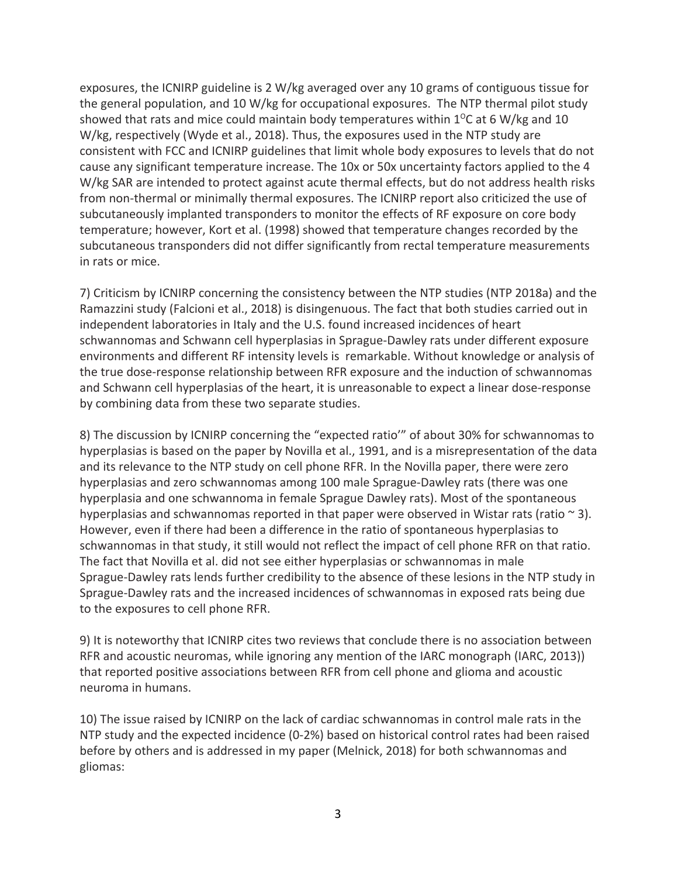exposures, the ICNIRP guideline is 2 W/kg averaged over any 10 grams of contiguous tissue for the general population, and 10 W/kg for occupational exposures. The NTP thermal pilot study showed that rats and mice could maintain body temperatures within  $1^{\circ}$ C at 6 W/kg and 10 W/kg, respectively (Wyde et al., 2018). Thus, the exposures used in the NTP study are consistent with FCC and ICNIRP guidelines that limit whole body exposures to levels that do not cause any significant temperature increase. The 10x or 50x uncertainty factors applied to the 4 W/kg SAR are intended to protect against acute thermal effects, but do not address health risks from non-thermal or minimally thermal exposures. The ICNIRP report also criticized the use of subcutaneously implanted transponders to monitor the effects of RF exposure on core body temperature; however, Kort et al. (1998) showed that temperature changes recorded by the subcutaneous transponders did not differ significantly from rectal temperature measurements in rats or mice.

7) Criticism by ICNIRP concerning the consistency between the NTP studies (NTP 2018a) and the Ramazzini study (Falcioni et al., 2018) is disingenuous. The fact that both studies carried out in independent laboratories in Italy and the U.S. found increased incidences of heart schwannomas and Schwann cell hyperplasias in Sprague-Dawley rats under different exposure environments and different RF intensity levels is remarkable. Without knowledge or analysis of the true dose-response relationship between RFR exposure and the induction of schwannomas and Schwann cell hyperplasias of the heart, it is unreasonable to expect a linear dose-response by combining data from these two separate studies.

8) The discussion by ICNIRP concerning the "expected ratio'" of about 30% for schwannomas to hyperplasias is based on the paper by Novilla et al., 1991, and is a misrepresentation of the data and its relevance to the NTP study on cell phone RFR. In the Novilla paper, there were zero hyperplasias and zero schwannomas among 100 male Sprague-Dawley rats (there was one hyperplasia and one schwannoma in female Sprague Dawley rats). Most of the spontaneous hyperplasias and schwannomas reported in that paper were observed in Wistar rats (ratio  $\sim$  3). However, even if there had been a difference in the ratio of spontaneous hyperplasias to schwannomas in that study, it still would not reflect the impact of cell phone RFR on that ratio. The fact that Novilla et al. did not see either hyperplasias or schwannomas in male Sprague-Dawley rats lends further credibility to the absence of these lesions in the NTP study in Sprague-Dawley rats and the increased incidences of schwannomas in exposed rats being due to the exposures to cell phone RFR.

9) It is noteworthy that ICNIRP cites two reviews that conclude there is no association between RFR and acoustic neuromas, while ignoring any mention of the IARC monograph (IARC, 2013)) that reported positive associations between RFR from cell phone and glioma and acoustic neuroma in humans.

10) The issue raised by ICNIRP on the lack of cardiac schwannomas in control male rats in the NTP study and the expected incidence (0-2%) based on historical control rates had been raised before by others and is addressed in my paper (Melnick, 2018) for both schwannomas and gliomas: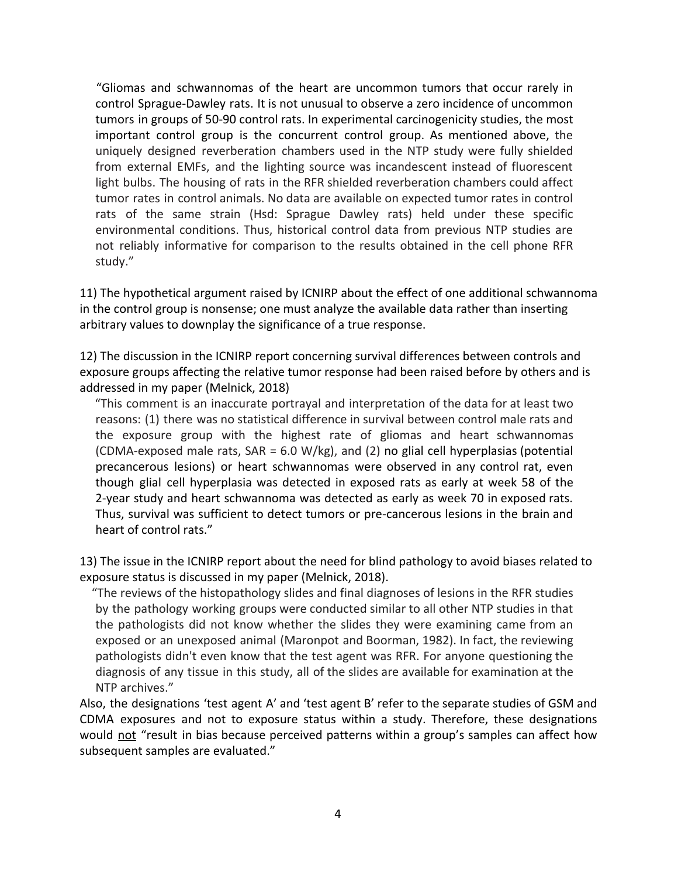"Gliomas and schwannomas of the heart are uncommon tumors that occur rarely in control Sprague-Dawley rats. It is not unusual to observe a zero incidence of uncommon tumors in groups of 50-90 control rats. In experimental carcinogenicity studies, the most important control group is the concurrent control group. As mentioned above, the uniquely designed reverberation chambers used in the NTP study were fully shielded from external EMFs, and the lighting source was incandescent instead of fluorescent light bulbs. The housing of rats in the RFR shielded reverberation chambers could affect tumor rates in control animals. No data are available on expected tumor rates in control rats of the same strain (Hsd: Sprague Dawley rats) held under these specific environmental conditions. Thus, historical control data from previous NTP studies are not reliably informative for comparison to the results obtained in the cell phone RFR study."

11) The hypothetical argument raised by ICNIRP about the effect of one additional schwannoma in the control group is nonsense; one must analyze the available data rather than inserting arbitrary values to downplay the significance of a true response.

12) The discussion in the ICNIRP report concerning survival differences between controls and exposure groups affecting the relative tumor response had been raised before by others and is addressed in my paper (Melnick, 2018)

"This comment is an inaccurate portrayal and interpretation of the data for at least two reasons: (1) there was no statistical difference in survival between control male rats and the exposure group with the highest rate of gliomas and heart schwannomas (CDMA-exposed male rats,  $SAR = 6.0$  W/kg), and (2) no glial cell hyperplasias (potential precancerous lesions) or heart schwannomas were observed in any control rat, even though glial cell hyperplasia was detected in exposed rats as early at week 58 of the 2-year study and heart schwannoma was detected as early as week 70 in exposed rats. Thus, survival was sufficient to detect tumors or pre-cancerous lesions in the brain and heart of control rats."

13) The issue in the ICNIRP report about the need for blind pathology to avoid biases related to exposure status is discussed in my paper (Melnick, 2018).

"The reviews of the histopathology slides and final diagnoses of lesions in the RFR studies by the pathology working groups were conducted similar to all other NTP studies in that the pathologists did not know whether the slides they were examining came from an exposed or an unexposed animal (Maronpot and Boorman, 1982). In fact, the reviewing pathologists didn't even know that the test agent was RFR. For anyone questioning the diagnosis of any tissue in this study, all of the slides are available for examination at the NTP archives."

Also, the designations 'test agent A' and 'test agent B' refer to the separate studies of GSM and CDMA exposures and not to exposure status within a study. Therefore, these designations would not "result in bias because perceived patterns within a group's samples can affect how subsequent samples are evaluated."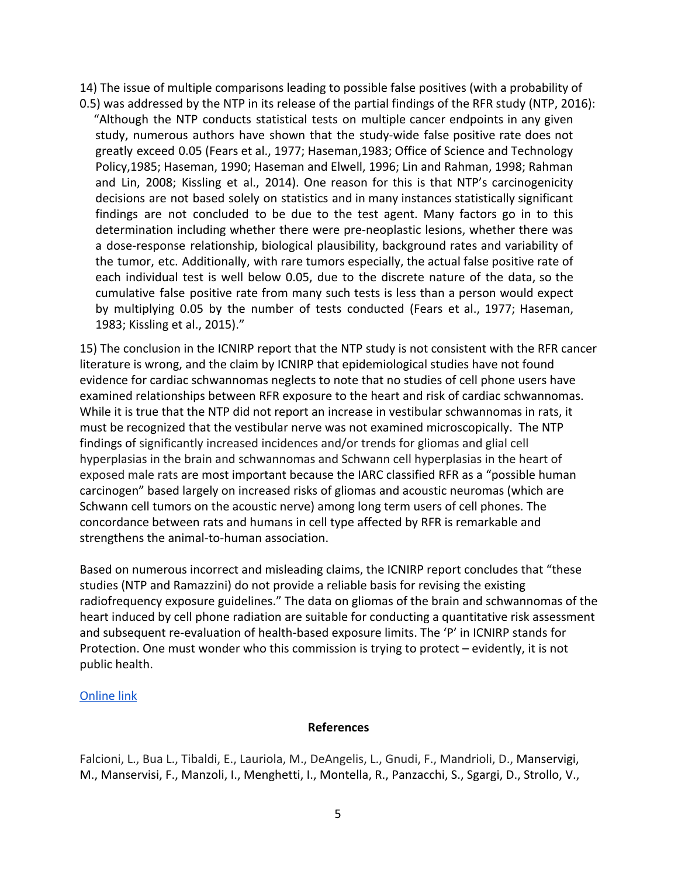- 14) The issue of multiple comparisons leading to possible false positives (with a probability of
- 0.5) was addressed by the NTP in its release of the partial findings of the RFR study (NTP, 2016): "Although the NTP conducts statistical tests on multiple cancer endpoints in any given study, numerous authors have shown that the study-wide false positive rate does not greatly exceed 0.05 (Fears et al., 1977; Haseman,1983; Office of Science and Technology Policy,1985; Haseman, 1990; Haseman and Elwell, 1996; Lin and Rahman, 1998; Rahman and Lin, 2008; Kissling et al., 2014). One reason for this is that NTP's carcinogenicity decisions are not based solely on statistics and in many instances statistically significant findings are not concluded to be due to the test agent. Many factors go in to this determination including whether there were pre-neoplastic lesions, whether there was a dose-response relationship, biological plausibility, background rates and variability of the tumor, etc. Additionally, with rare tumors especially, the actual false positive rate of each individual test is well below 0.05, due to the discrete nature of the data, so the cumulative false positive rate from many such tests is less than a person would expect by multiplying 0.05 by the number of tests conducted (Fears et al., 1977; Haseman, 1983; Kissling et al., 2015)."

15) The conclusion in the ICNIRP report that the NTP study is not consistent with the RFR cancer literature is wrong, and the claim by ICNIRP that epidemiological studies have not found evidence for cardiac schwannomas neglects to note that no studies of cell phone users have examined relationships between RFR exposure to the heart and risk of cardiac schwannomas. While it is true that the NTP did not report an increase in vestibular schwannomas in rats, it must be recognized that the vestibular nerve was not examined microscopically. The NTP findings of significantly increased incidences and/or trends for gliomas and glial cell hyperplasias in the brain and schwannomas and Schwann cell hyperplasias in the heart of exposed male rats are most important because the IARC classified RFR as a "possible human carcinogen" based largely on increased risks of gliomas and acoustic neuromas (which are Schwann cell tumors on the acoustic nerve) among long term users of cell phones. The concordance between rats and humans in cell type affected by RFR is remarkable and strengthens the animal-to-human association.

Based on numerous incorrect and misleading claims, the ICNIRP report concludes that "these studies (NTP and Ramazzini) do not provide a reliable basis for revising the existing radiofrequency exposure guidelines." The data on gliomas of the brain and schwannomas of the heart induced by cell phone radiation are suitable for conducting a quantitative risk assessment and subsequent re-evaluation of health-based exposure limits. The 'P' in ICNIRP stands for Protection. One must wonder who this commission is trying to protect – evidently, it is not public health.

## Online link

## References

Falcioni, L., Bua L., Tibaldi, E., Lauriola, M., DeAngelis, L., Gnudi, F., Mandrioli, D., Manservigi, M., Manservisi, F., Manzoli, I., Menghetti, I., Montella, R., Panzacchi, S., Sgargi, D., Strollo, V.,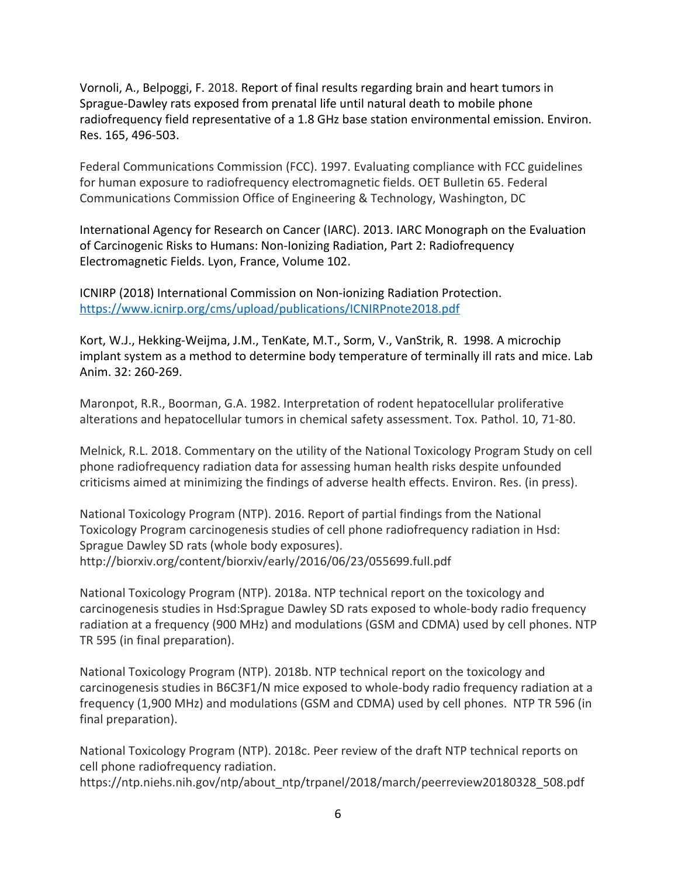Vornoli, A., Belpoggi, F. 2018. Report of final results regarding brain and heart tumors in Sprague-Dawley rats exposed from prenatal life until natural death to mobile phone radiofrequency field representative of a 1.8 GHz base station environmental emission. Environ. Res. 165, 496-503.

Federal Communications Commission (FCC). 1997. Evaluating compliance with FCC guidelines for human exposure to radiofrequency electromagnetic fields. OET Bulletin 65. Federal Communications Commission Office of Engineering & Technology, Washington, DC

International Agency for Research on Cancer (IARC). 2013. IARC Monograph on the Evaluation of Carcinogenic Risks to Humans: Non-Ionizing Radiation, Part 2: Radiofrequency Electromagnetic Fields. Lyon, France, Volume 102.

ICNIRP (2018) International Commission on Non-ionizing Radiation Protection. https://www.icnirp.org/cms/upload/publications/ICNIRPnote2018.pdf

Kort, W.J., Hekking-Weijma, J.M., TenKate, M.T., Sorm, V., VanStrik, R. 1998. A microchip implant system as a method to determine body temperature of terminally ill rats and mice. Lab Anim. 32: 260-269.

Maronpot, R.R., Boorman, G.A. 1982. Interpretation of rodent hepatocellular proliferative alterations and hepatocellular tumors in chemical safety assessment. Tox. Pathol. 10, 71-80.

Melnick, R.L. 2018. Commentary on the utility of the National Toxicology Program Study on cell phone radiofrequency radiation data for assessing human health risks despite unfounded criticisms aimed at minimizing the findings of adverse health effects. Environ. Res. (in press).

National Toxicology Program (NTP). 2016. Report of partial findings from the National Toxicology Program carcinogenesis studies of cell phone radiofrequency radiation in Hsd: Sprague Dawley SD rats (whole body exposures). http://biorxiv.org/content/biorxiv/early/2016/06/23/055699.full.pdf

National Toxicology Program (NTP). 2018a. NTP technical report on the toxicology and carcinogenesis studies in Hsd:Sprague Dawley SD rats exposed to whole-body radio frequency radiation at a frequency (900 MHz) and modulations (GSM and CDMA) used by cell phones. NTP TR 595 (in final preparation).

National Toxicology Program (NTP). 2018b. NTP technical report on the toxicology and carcinogenesis studies in B6C3F1/N mice exposed to whole-body radio frequency radiation at a frequency (1,900 MHz) and modulations (GSM and CDMA) used by cell phones. NTP TR 596 (in final preparation).

National Toxicology Program (NTP). 2018c. Peer review of the draft NTP technical reports on cell phone radiofrequency radiation.

https://ntp.niehs.nih.gov/ntp/about\_ntp/trpanel/2018/march/peerreview20180328\_508.pdf